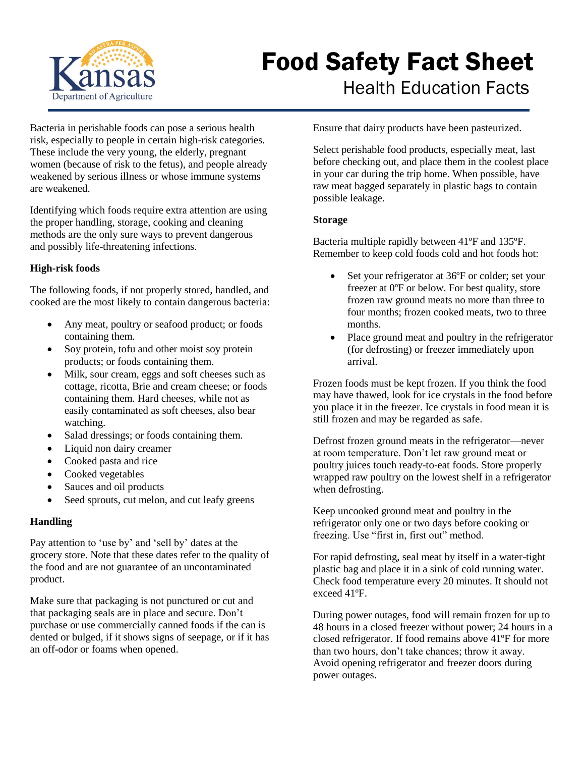

# Food Safety Fact Sheet Health Education Facts

Bacteria in perishable foods can pose a serious health risk, especially to people in certain high-risk categories. These include the very young, the elderly, pregnant women (because of risk to the fetus), and people already weakened by serious illness or whose immune systems are weakened.

Identifying which foods require extra attention are using the proper handling, storage, cooking and cleaning methods are the only sure ways to prevent dangerous and possibly life-threatening infections.

## **High-risk foods**

The following foods, if not properly stored, handled, and cooked are the most likely to contain dangerous bacteria:

- Any meat, poultry or seafood product; or foods containing them.
- Soy protein, tofu and other moist soy protein products; or foods containing them.
- Milk, sour cream, eggs and soft cheeses such as cottage, ricotta, Brie and cream cheese; or foods containing them. Hard cheeses, while not as easily contaminated as soft cheeses, also bear watching.
- Salad dressings; or foods containing them.
- Liquid non dairy creamer
- Cooked pasta and rice
- Cooked vegetables
- Sauces and oil products
- Seed sprouts, cut melon, and cut leafy greens

## **Handling**

Pay attention to 'use by' and 'sell by' dates at the grocery store. Note that these dates refer to the quality of the food and are not guarantee of an uncontaminated product.

Make sure that packaging is not punctured or cut and that packaging seals are in place and secure. Don't purchase or use commercially canned foods if the can is dented or bulged, if it shows signs of seepage, or if it has an off-odor or foams when opened.

Ensure that dairy products have been pasteurized.

Select perishable food products, especially meat, last before checking out, and place them in the coolest place in your car during the trip home. When possible, have raw meat bagged separately in plastic bags to contain possible leakage.

#### **Storage**

Bacteria multiple rapidly between 41ºF and 135ºF. Remember to keep cold foods cold and hot foods hot:

- Set your refrigerator at 36°F or colder; set your freezer at 0ºF or below. For best quality, store frozen raw ground meats no more than three to four months; frozen cooked meats, two to three months.
- Place ground meat and poultry in the refrigerator (for defrosting) or freezer immediately upon arrival.

Frozen foods must be kept frozen. If you think the food may have thawed, look for ice crystals in the food before you place it in the freezer. Ice crystals in food mean it is still frozen and may be regarded as safe.

Defrost frozen ground meats in the refrigerator—never at room temperature. Don't let raw ground meat or poultry juices touch ready-to-eat foods. Store properly wrapped raw poultry on the lowest shelf in a refrigerator when defrosting.

Keep uncooked ground meat and poultry in the refrigerator only one or two days before cooking or freezing. Use "first in, first out" method.

For rapid defrosting, seal meat by itself in a water-tight plastic bag and place it in a sink of cold running water. Check food temperature every 20 minutes. It should not exceed 41ºF.

During power outages, food will remain frozen for up to 48 hours in a closed freezer without power; 24 hours in a closed refrigerator. If food remains above 41ºF for more than two hours, don't take chances; throw it away. Avoid opening refrigerator and freezer doors during power outages.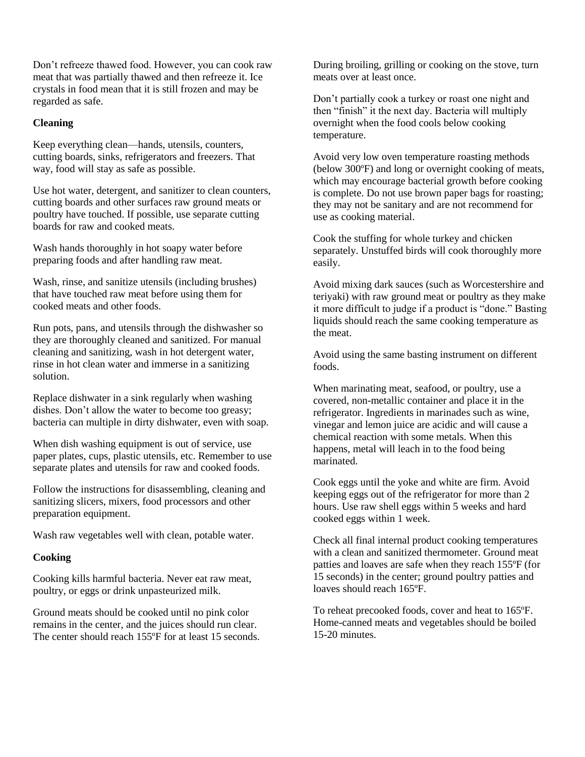Don't refreeze thawed food. However, you can cook raw meat that was partially thawed and then refreeze it. Ice crystals in food mean that it is still frozen and may be regarded as safe.

## **Cleaning**

Keep everything clean—hands, utensils, counters, cutting boards, sinks, refrigerators and freezers. That way, food will stay as safe as possible.

Use hot water, detergent, and sanitizer to clean counters, cutting boards and other surfaces raw ground meats or poultry have touched. If possible, use separate cutting boards for raw and cooked meats.

Wash hands thoroughly in hot soapy water before preparing foods and after handling raw meat.

Wash, rinse, and sanitize utensils (including brushes) that have touched raw meat before using them for cooked meats and other foods.

Run pots, pans, and utensils through the dishwasher so they are thoroughly cleaned and sanitized. For manual cleaning and sanitizing, wash in hot detergent water, rinse in hot clean water and immerse in a sanitizing solution.

Replace dishwater in a sink regularly when washing dishes. Don't allow the water to become too greasy; bacteria can multiple in dirty dishwater, even with soap.

When dish washing equipment is out of service, use paper plates, cups, plastic utensils, etc. Remember to use separate plates and utensils for raw and cooked foods.

Follow the instructions for disassembling, cleaning and sanitizing slicers, mixers, food processors and other preparation equipment.

Wash raw vegetables well with clean, potable water.

## **Cooking**

Cooking kills harmful bacteria. Never eat raw meat, poultry, or eggs or drink unpasteurized milk.

Ground meats should be cooked until no pink color remains in the center, and the juices should run clear. The center should reach 155°F for at least 15 seconds. During broiling, grilling or cooking on the stove, turn meats over at least once.

Don't partially cook a turkey or roast one night and then "finish" it the next day. Bacteria will multiply overnight when the food cools below cooking temperature.

Avoid very low oven temperature roasting methods (below 300ºF) and long or overnight cooking of meats, which may encourage bacterial growth before cooking is complete. Do not use brown paper bags for roasting; they may not be sanitary and are not recommend for use as cooking material.

Cook the stuffing for whole turkey and chicken separately. Unstuffed birds will cook thoroughly more easily.

Avoid mixing dark sauces (such as Worcestershire and teriyaki) with raw ground meat or poultry as they make it more difficult to judge if a product is "done." Basting liquids should reach the same cooking temperature as the meat.

Avoid using the same basting instrument on different foods.

When marinating meat, seafood, or poultry, use a covered, non-metallic container and place it in the refrigerator. Ingredients in marinades such as wine, vinegar and lemon juice are acidic and will cause a chemical reaction with some metals. When this happens, metal will leach in to the food being marinated.

Cook eggs until the yoke and white are firm. Avoid keeping eggs out of the refrigerator for more than 2 hours. Use raw shell eggs within 5 weeks and hard cooked eggs within 1 week.

Check all final internal product cooking temperatures with a clean and sanitized thermometer. Ground meat patties and loaves are safe when they reach 155ºF (for 15 seconds) in the center; ground poultry patties and loaves should reach 165ºF.

To reheat precooked foods, cover and heat to 165ºF. Home-canned meats and vegetables should be boiled 15-20 minutes.